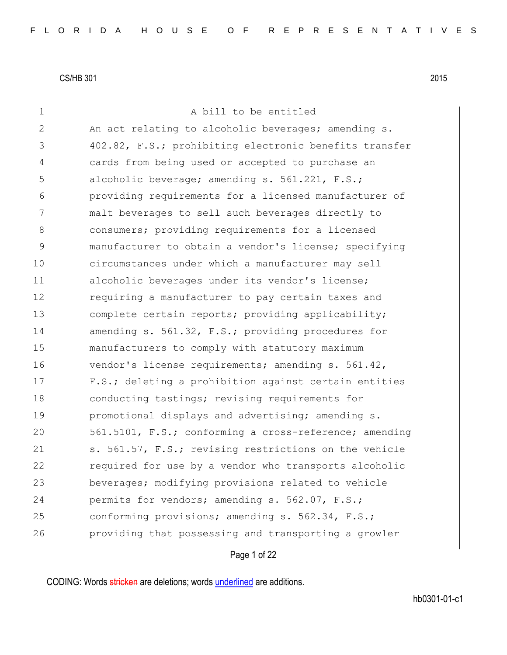| $\mathbf 1$   | A bill to be entitled                                  |
|---------------|--------------------------------------------------------|
| $\mathbf{2}$  | An act relating to alcoholic beverages; amending s.    |
| 3             | 402.82, F.S.; prohibiting electronic benefits transfer |
| 4             | cards from being used or accepted to purchase an       |
| 5             | alcoholic beverage; amending s. 561.221, F.S.;         |
| 6             | providing requirements for a licensed manufacturer of  |
| 7             | malt beverages to sell such beverages directly to      |
| 8             | consumers; providing requirements for a licensed       |
| $\mathcal{G}$ | manufacturer to obtain a vendor's license; specifying  |
| 10            | circumstances under which a manufacturer may sell      |
| 11            | alcoholic beverages under its vendor's license;        |
| 12            | requiring a manufacturer to pay certain taxes and      |
| 13            | complete certain reports; providing applicability;     |
| 14            | amending s. 561.32, F.S.; providing procedures for     |
| 15            | manufacturers to comply with statutory maximum         |
| 16            | vendor's license requirements; amending s. 561.42,     |
| 17            | F.S.; deleting a prohibition against certain entities  |
| 18            | conducting tastings; revising requirements for         |
| 19            | promotional displays and advertising; amending s.      |
| 20            | 561.5101, F.S.; conforming a cross-reference; amending |
| 21            | s. 561.57, F.S.; revising restrictions on the vehicle  |
| 22            | required for use by a vendor who transports alcoholic  |
| 23            | beverages; modifying provisions related to vehicle     |
| 24            | permits for vendors; amending s. 562.07, F.S.;         |
| 25            | conforming provisions; amending s. 562.34, F.S.;       |
| 26            | providing that possessing and transporting a growler   |
|               |                                                        |

Page 1 of 22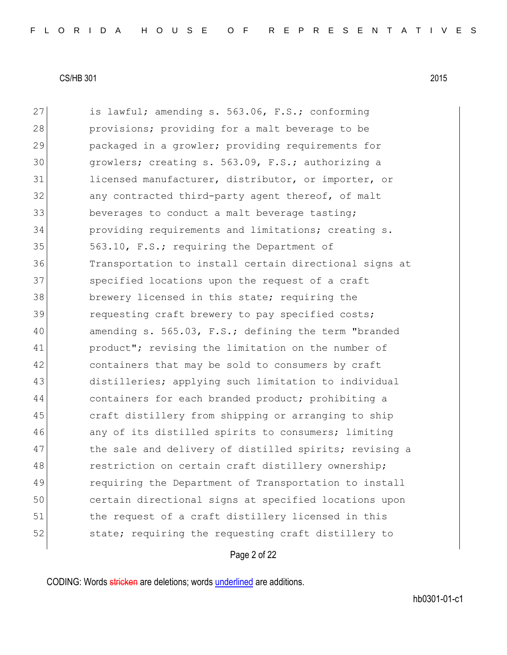27 is lawful; amending s. 563.06, F.S.; conforming 28 provisions; providing for a malt beverage to be 29 packaged in a growler; providing requirements for 30 growlers; creating s. 563.09, F.S.; authorizing a 31 licensed manufacturer, distributor, or importer, or 32 any contracted third-party agent thereof, of malt 33 beverages to conduct a malt beverage tasting; 34 providing requirements and limitations; creating s. 35 563.10, F.S.; requiring the Department of 36 Transportation to install certain directional signs at 37 Specified locations upon the request of a craft 38 brewery licensed in this state; requiring the 39 requesting craft brewery to pay specified costs; 40 amending s. 565.03, F.S.; defining the term "branded 41 product"; revising the limitation on the number of 42 containers that may be sold to consumers by craft 43 distilleries; applying such limitation to individual 44 containers for each branded product; prohibiting a 45 craft distillery from shipping or arranging to ship 46 any of its distilled spirits to consumers; limiting 47 The sale and delivery of distilled spirits; revising a 48 restriction on certain craft distillery ownership; 49 requiring the Department of Transportation to install 50 certain directional signs at specified locations upon 51 the request of a craft distillery licensed in this 52 state; requiring the requesting craft distillery to

Page 2 of 22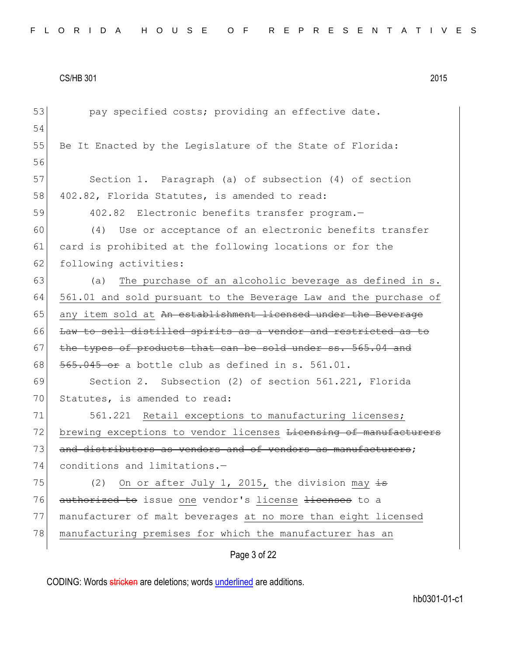| 53 | pay specified costs; providing an effective date.                |
|----|------------------------------------------------------------------|
| 54 |                                                                  |
| 55 | Be It Enacted by the Legislature of the State of Florida:        |
| 56 |                                                                  |
| 57 | Section 1. Paragraph (a) of subsection (4) of section            |
| 58 | 402.82, Florida Statutes, is amended to read:                    |
| 59 | 402.82 Electronic benefits transfer program.-                    |
| 60 | Use or acceptance of an electronic benefits transfer<br>(4)      |
| 61 | card is prohibited at the following locations or for the         |
| 62 | following activities:                                            |
| 63 | The purchase of an alcoholic beverage as defined in s.<br>(a)    |
| 64 | 561.01 and sold pursuant to the Beverage Law and the purchase of |
| 65 | any item sold at An establishment licensed under the Beverage    |
| 66 | Law to sell distilled spirits as a vendor and restricted as to   |
| 67 | the types of products that can be sold under ss. 565.04 and      |
| 68 | $565.045$ or a bottle club as defined in s. 561.01.              |
| 69 | Section 2. Subsection (2) of section 561.221, Florida            |
| 70 | Statutes, is amended to read:                                    |
| 71 | 561.221 Retail exceptions to manufacturing licenses;             |
| 72 | brewing exceptions to vendor licenses Licensing of manufacturers |
| 73 | and distributors as vendors and of vendors as manufacturers;     |
| 74 | conditions and limitations.-                                     |
| 75 | On or after July 1, 2015, the division may $\frac{1}{15}$<br>(2) |
| 76 | authorized to issue one vendor's license licenses to a           |
| 77 | manufacturer of malt beverages at no more than eight licensed    |
| 78 | manufacturing premises for which the manufacturer has an         |
|    | Page 3 of 22                                                     |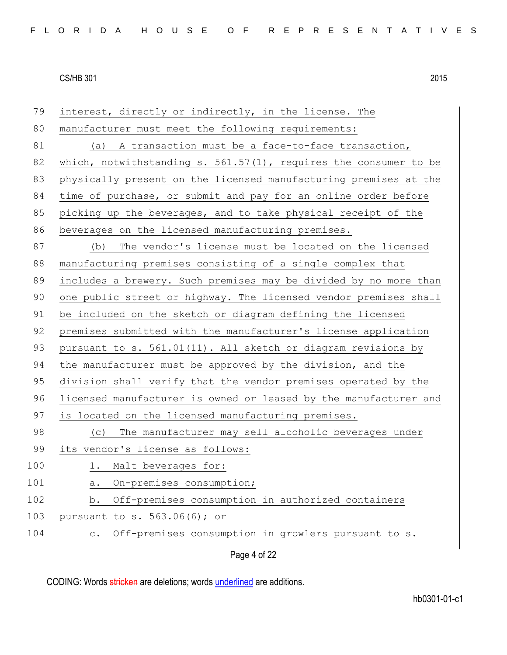| 79  | interest, directly or indirectly, in the license. The                 |
|-----|-----------------------------------------------------------------------|
| 80  | manufacturer must meet the following requirements:                    |
| 81  | (a) A transaction must be a face-to-face transaction,                 |
| 82  | which, notwithstanding s. $561.57(1)$ , requires the consumer to be   |
| 83  | physically present on the licensed manufacturing premises at the      |
| 84  | time of purchase, or submit and pay for an online order before        |
| 85  | picking up the beverages, and to take physical receipt of the         |
| 86  | beverages on the licensed manufacturing premises.                     |
| 87  | The vendor's license must be located on the licensed<br>(b)           |
| 88  | manufacturing premises consisting of a single complex that            |
| 89  | includes a brewery. Such premises may be divided by no more than      |
| 90  | one public street or highway. The licensed vendor premises shall      |
| 91  | be included on the sketch or diagram defining the licensed            |
| 92  | premises submitted with the manufacturer's license application        |
| 93  | pursuant to s. 561.01(11). All sketch or diagram revisions by         |
| 94  | the manufacturer must be approved by the division, and the            |
| 95  | division shall verify that the vendor premises operated by the        |
| 96  | licensed manufacturer is owned or leased by the manufacturer and      |
| 97  | is located on the licensed manufacturing premises.                    |
| 98  | The manufacturer may sell alcoholic beverages under<br>(C)            |
| 99  | its vendor's license as follows:                                      |
| 100 | 1. Malt beverages for:                                                |
| 101 | On-premises consumption;<br>а.                                        |
| 102 | Off-premises consumption in authorized containers<br>b.               |
| 103 | pursuant to s. 563.06(6); or                                          |
| 104 | Off-premises consumption in growlers pursuant to s.<br>$\mathtt{C}$ . |
|     | Page 4 of 22                                                          |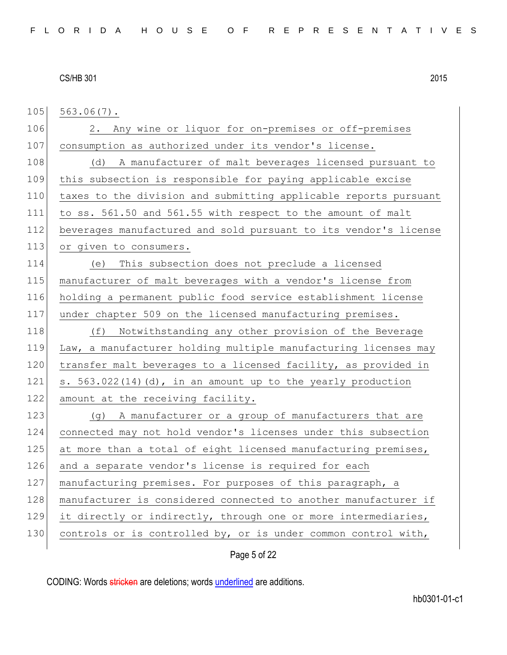$105$  563.06(7).

106 2. Any wine or liquor for on-premises or off-premises 107 consumption as authorized under its vendor's license. 108 (d) A manufacturer of malt beverages licensed pursuant to 109 this subsection is responsible for paying applicable excise 110 taxes to the division and submitting applicable reports pursuant 111 to ss. 561.50 and 561.55 with respect to the amount of malt 112 beverages manufactured and sold pursuant to its vendor's license 113 or given to consumers.

 (e) This subsection does not preclude a licensed manufacturer of malt beverages with a vendor's license from holding a permanent public food service establishment license 117 under chapter 509 on the licensed manufacturing premises.

118 (f) Notwithstanding any other provision of the Beverage 119 Law, a manufacturer holding multiple manufacturing licenses may 120 transfer malt beverages to a licensed facility, as provided in 121 s. 563.022(14)(d), in an amount up to the yearly production 122 amount at the receiving facility.

123 (g) A manufacturer or a group of manufacturers that are 124 connected may not hold vendor's licenses under this subsection 125 at more than a total of eight licensed manufacturing premises, 126 and a separate vendor's license is required for each 127 manufacturing premises. For purposes of this paragraph, a 128 | manufacturer is considered connected to another manufacturer if 129 it directly or indirectly, through one or more intermediaries, 130 controls or is controlled by, or is under common control with,

Page 5 of 22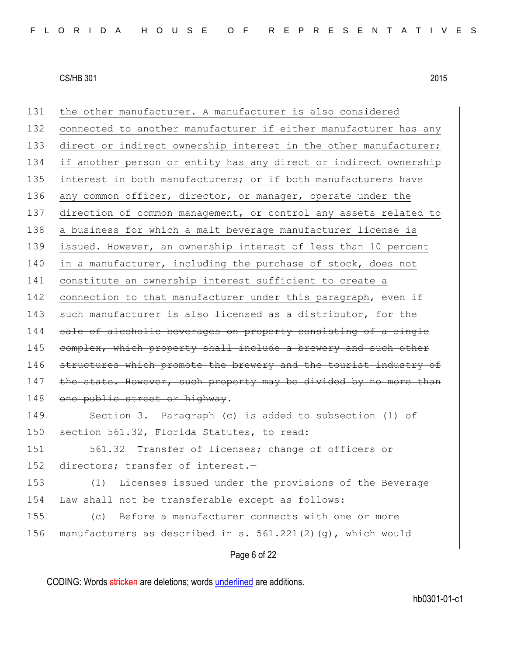| 131 | the other manufacturer. A manufacturer is also considered        |
|-----|------------------------------------------------------------------|
| 132 | connected to another manufacturer if either manufacturer has any |
| 133 | direct or indirect ownership interest in the other manufacturer; |
| 134 | if another person or entity has any direct or indirect ownership |
| 135 | interest in both manufacturers; or if both manufacturers have    |
| 136 | any common officer, director, or manager, operate under the      |
| 137 | direction of common management, or control any assets related to |
| 138 | a business for which a malt beverage manufacturer license is     |
| 139 | issued. However, an ownership interest of less than 10 percent   |
| 140 | in a manufacturer, including the purchase of stock, does not     |
| 141 | constitute an ownership interest sufficient to create a          |
| 142 | connection to that manufacturer under this paragraph, even if    |
| 143 | such manufacturer is also licensed as a distributor, for the     |
| 144 | sale of alcoholic beverages on property consisting of a single   |
| 145 | complex, which property shall include a brewery and such other   |
| 146 | structures which promote the brewery and the tourist industry of |
| 147 | the state. However, such property may be divided by no more than |
| 148 | one public street or highway.                                    |
| 149 | Section 3. Paragraph (c) is added to subsection (1) of           |
| 150 | section 561.32, Florida Statutes, to read:                       |
| 151 | 561.32 Transfer of licenses; change of officers or               |
| 152 | directors; transfer of interest.-                                |
| 153 | Licenses issued under the provisions of the Beverage<br>(1)      |
| 154 | Law shall not be transferable except as follows:                 |
| 155 | Before a manufacturer connects with one or more<br>(C)           |
| 156 | manufacturers as described in s. 561.221(2)(g), which would      |
|     |                                                                  |

Page 6 of 22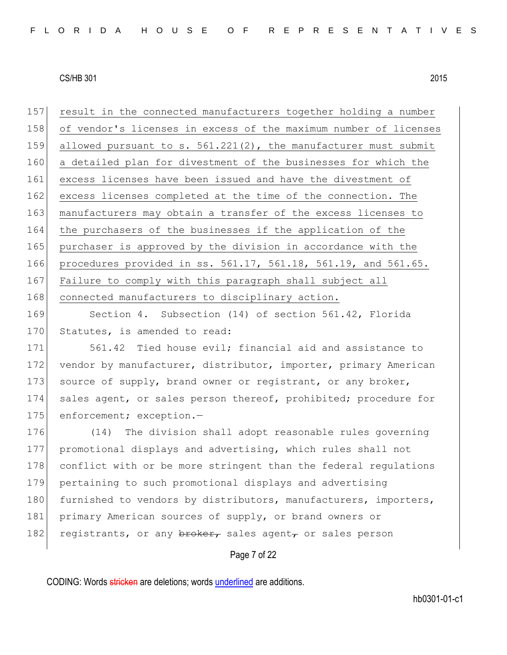157 result in the connected manufacturers together holding a number 158 of vendor's licenses in excess of the maximum number of licenses 159 allowed pursuant to s. 561.221(2), the manufacturer must submit 160 a detailed plan for divestment of the businesses for which the 161 excess licenses have been issued and have the divestment of 162 excess licenses completed at the time of the connection. The 163 manufacturers may obtain a transfer of the excess licenses to 164 the purchasers of the businesses if the application of the 165 purchaser is approved by the division in accordance with the 166 procedures provided in ss. 561.17, 561.18, 561.19, and 561.65. 167 Failure to comply with this paragraph shall subject all 168 connected manufacturers to disciplinary action.

169 Section 4. Subsection (14) of section 561.42, Florida 170 Statutes, is amended to read:

171 561.42 Tied house evil; financial aid and assistance to 172 vendor by manufacturer, distributor, importer, primary American 173 source of supply, brand owner or registrant, or any broker, 174 sales agent, or sales person thereof, prohibited; procedure for 175 enforcement; exception.-

176 (14) The division shall adopt reasonable rules governing 177 promotional displays and advertising, which rules shall not 178 conflict with or be more stringent than the federal regulations 179 pertaining to such promotional displays and advertising 180 furnished to vendors by distributors, manufacturers, importers, 181 primary American sources of supply, or brand owners or 182 registrants, or any  $\frac{b \cdot b}{c}$  sales agent, or sales person

Page 7 of 22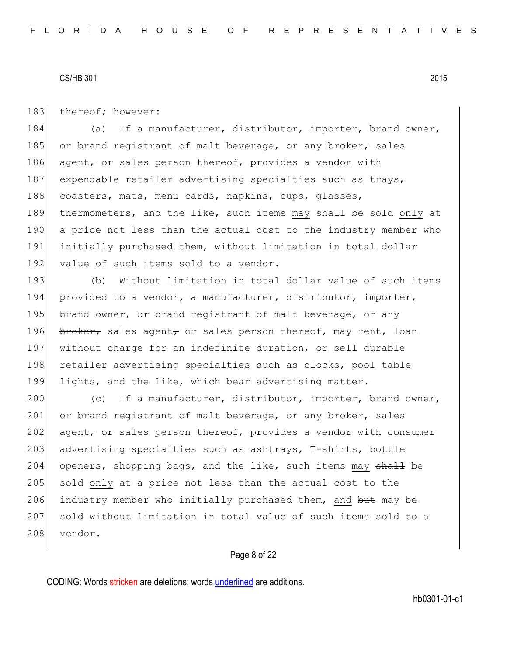183 thereof; however:

184 (a) If a manufacturer, distributor, importer, brand owner, 185 or brand registrant of malt beverage, or any  $\frac{b}{b}$  sales 186 agent $_{\tau}$  or sales person thereof, provides a vendor with 187 expendable retailer advertising specialties such as trays, 188 coasters, mats, menu cards, napkins, cups, glasses, 189 thermometers, and the like, such items may shall be sold only at 190 a price not less than the actual cost to the industry member who 191 initially purchased them, without limitation in total dollar 192 value of such items sold to a vendor.

193 (b) Without limitation in total dollar value of such items 194 provided to a vendor, a manufacturer, distributor, importer, 195 brand owner, or brand registrant of malt beverage, or any 196 broker, sales agent, or sales person thereof, may rent, loan 197 without charge for an indefinite duration, or sell durable 198 retailer advertising specialties such as clocks, pool table 199 lights, and the like, which bear advertising matter.

200 (c) If a manufacturer, distributor, importer, brand owner, 201 or brand registrant of malt beverage, or any broker, sales 202 agent, or sales person thereof, provides a vendor with consumer 203 advertising specialties such as ashtrays, T-shirts, bottle 204 openers, shopping bags, and the like, such items may  $shaH$  be 205 sold only at a price not less than the actual cost to the 206 industry member who initially purchased them, and but may be 207 sold without limitation in total value of such items sold to a 208 vendor.

# Page 8 of 22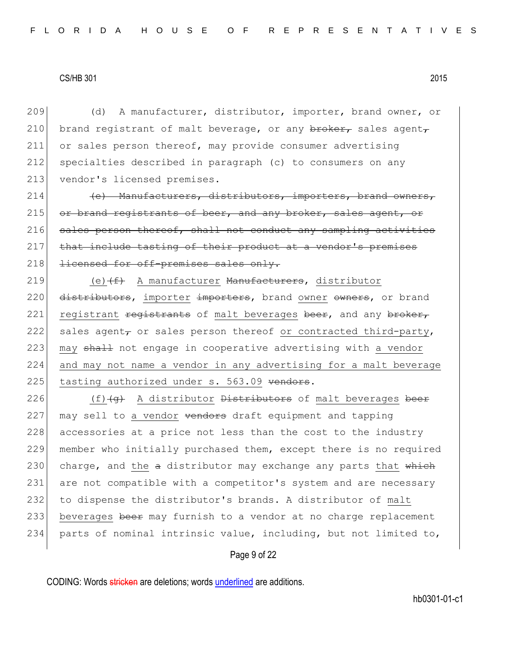209 (d) A manufacturer, distributor, importer, brand owner, or 210 brand registrant of malt beverage, or any  $\frac{b}{b}$  brands agent, 211 or sales person thereof, may provide consumer advertising 212 specialties described in paragraph (c) to consumers on any 213 vendor's licensed premises.

214 (e) Manufacturers, distributors, importers, brand owners, 215 or brand registrants of beer, and any broker, sales agent, or  $216$  sales person thereof, shall not conduct any sampling activities 217 that include tasting of their product at a vendor's premises 218 <del>licensed for off-premises sales only.</del>

219 (e) (f) A manufacturer Manufacturers, distributor 220 distributors, importer importers, brand owner owners, or brand 221 registrant registrants of malt beverages beer, and any broker, 222 sales agent, or sales person thereof or contracted third-party, 223 may shall not engage in cooperative advertising with a vendor 224 and may not name a vendor in any advertising for a malt beverage 225 tasting authorized under s. 563.09 vendors.

226  $(f)\left(\alpha\right)$  A distributor <del>Distributors</del> of malt beverages beer  $227$  may sell to a vendor  $\theta$  vendors draft equipment and tapping 228 accessories at a price not less than the cost to the industry 229 member who initially purchased them, except there is no required 230 charge, and the  $a$  distributor may exchange any parts that  $w$ hich 231 are not compatible with a competitor's system and are necessary 232 to dispense the distributor's brands. A distributor of malt 233 beverages beer may furnish to a vendor at no charge replacement 234 parts of nominal intrinsic value, including, but not limited to,

# Page 9 of 22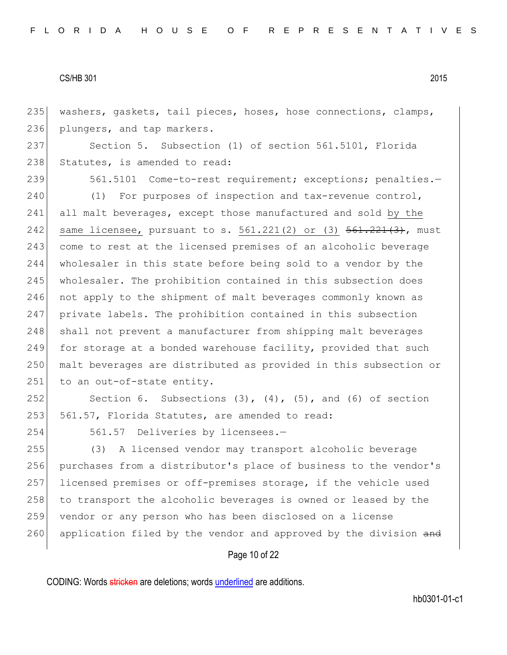235 washers, gaskets, tail pieces, hoses, hose connections, clamps, 236 plungers, and tap markers.

237 Section 5. Subsection (1) of section 561.5101, Florida 238 Statutes, is amended to read:

239 561.5101 Come-to-rest requirement; exceptions; penalties.-240 (1) For purposes of inspection and tax-revenue control, 241 all malt beverages, except those manufactured and sold by the 242 same licensee, pursuant to s.  $561.221(2)$  or (3)  $561.221(3)$ , must 243 come to rest at the licensed premises of an alcoholic beverage 244 wholesaler in this state before being sold to a vendor by the 245 wholesaler. The prohibition contained in this subsection does 246 not apply to the shipment of malt beverages commonly known as 247 private labels. The prohibition contained in this subsection 248 shall not prevent a manufacturer from shipping malt beverages 249 for storage at a bonded warehouse facility, provided that such 250 malt beverages are distributed as provided in this subsection or 251 to an out-of-state entity.

252 Section 6. Subsections  $(3)$ ,  $(4)$ ,  $(5)$ , and  $(6)$  of section 253 561.57, Florida Statutes, are amended to read:

254 561.57 Deliveries by licensees.-

 (3) A licensed vendor may transport alcoholic beverage purchases from a distributor's place of business to the vendor's licensed premises or off-premises storage, if the vehicle used 258 to transport the alcoholic beverages is owned or leased by the vendor or any person who has been disclosed on a license 260 application filed by the vendor and approved by the division and

# Page 10 of 22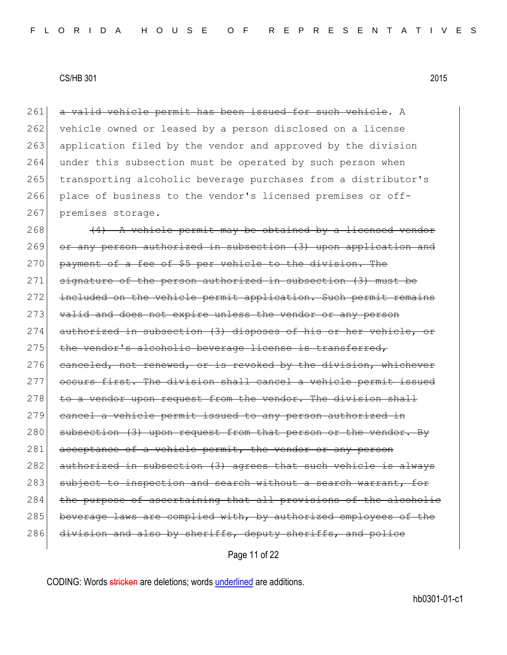261 a valid vehicle permit has been issued for such vehicle. A 262 vehicle owned or leased by a person disclosed on a license 263 application filed by the vendor and approved by the division 264 under this subsection must be operated by such person when 265 transporting alcoholic beverage purchases from a distributor's 266 place of business to the vendor's licensed premises or off-267 premises storage.

 $268$  (4) A vehicle permit may be obtained by a licensed vendor 269 or any person authorized in subsection (3) upon application and 270 payment of a fee of \$5 per vehicle to the division. The 271 signature of the person authorized in subsection (3) must be 272 included on the vehicle permit application. Such permit remains 273 valid and does not expire unless the vendor or any person 274 authorized in subsection (3) disposes of his or her vehicle, or 275 the vendor's alcoholic beverage license is transferred, 276 canceled, not renewed, or is revoked by the division, whichever 277 occurs first. The division shall cancel a vehicle permit issued  $278$  to a vendor upon request from the vendor. The division shall 279 cancel a vehicle permit issued to any person authorized in 280 subsection (3) upon request from that person or the vendor. By 281 acceptance of a vehicle permit, the vendor or any person 282 authorized in subsection (3) agrees that such vehicle is always 283 subject to inspection and search without a search warrant, for 284 the purpose of ascertaining that all provisions of the alcoholic 285 beverage laws are complied with, by authorized employees of the 286 division and also by sheriffs, deputy sheriffs, and police

Page 11 of 22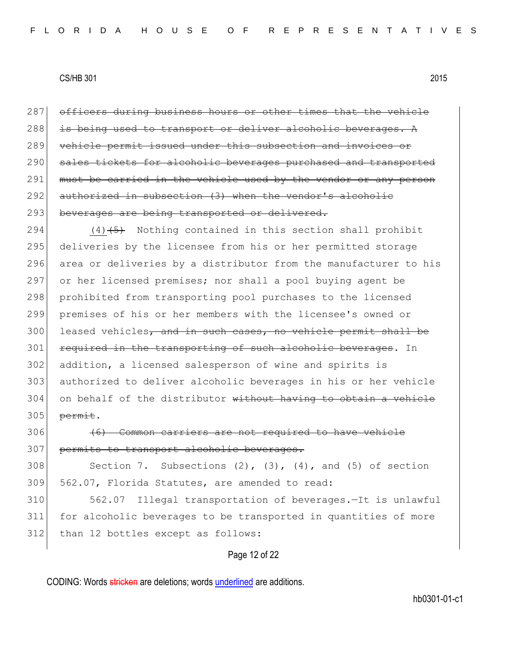287 officers during business hours or other times that the vehicle 288 is being used to transport or deliver alcoholic beverages. A 289 vehicle permit issued under this subsection and invoices or 290 sales tickets for alcoholic beverages purchased and transported 291 must be carried in the vehicle used by the vendor or any person 292 authorized in subsection (3) when the vendor's alcoholic 293 beverages are being transported or delivered.

294  $(4)$   $\leftarrow$  Nothing contained in this section shall prohibit 295 deliveries by the licensee from his or her permitted storage 296 area or deliveries by a distributor from the manufacturer to his 297 or her licensed premises; nor shall a pool buying agent be 298 prohibited from transporting pool purchases to the licensed 299 premises of his or her members with the licensee's owned or 300 leased vehicles, and in such cases, no vehicle permit shall be 301 required in the transporting of such alcoholic beverages. In 302 addition, a licensed salesperson of wine and spirits is 303 authorized to deliver alcoholic beverages in his or her vehicle  $304$  on behalf of the distributor without having to obtain a vehicle  $305$  permit.

306 (6) Common carriers are not required to have vehicle 307 permits to transport alcoholic beverages.

308 Section 7. Subsections  $(2)$ ,  $(3)$ ,  $(4)$ , and  $(5)$  of section 309 562.07, Florida Statutes, are amended to read:

310 562.07 Illegal transportation of beverages.—It is unlawful 311 for alcoholic beverages to be transported in quantities of more 312 than 12 bottles except as follows:

### Page 12 of 22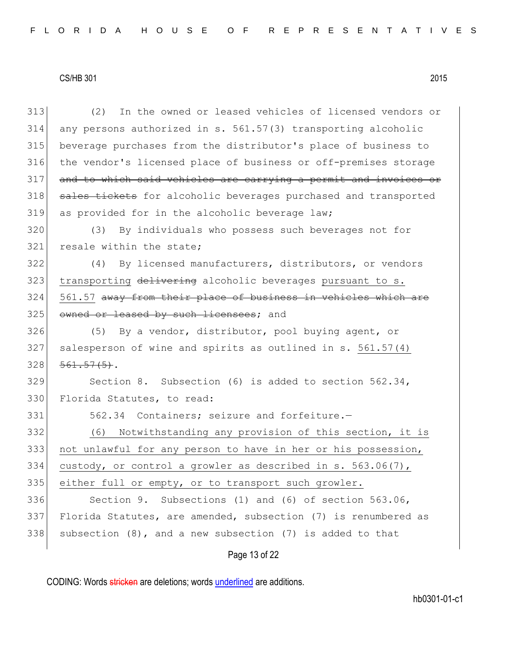| 313 | In the owned or leased vehicles of licensed vendors or<br>(2)    |
|-----|------------------------------------------------------------------|
| 314 | any persons authorized in s. 561.57(3) transporting alcoholic    |
| 315 | beverage purchases from the distributor's place of business to   |
| 316 | the vendor's licensed place of business or off-premises storage  |
| 317 | and to which said vehicles are carrying a permit and invoices or |
| 318 | sales tickets for alcoholic beverages purchased and transported  |
| 319 | as provided for in the alcoholic beverage law;                   |
| 320 | By individuals who possess such beverages not for<br>(3)         |
| 321 | resale within the state;                                         |
| 322 | By licensed manufacturers, distributors, or vendors<br>(4)       |
| 323 | transporting delivering alcoholic beverages pursuant to s.       |
| 324 | 561.57 away from their place of business in vehicles which are   |
| 325 | owned or leased by such licensees; and                           |
| 326 | By a vendor, distributor, pool buying agent, or<br>(5)           |
| 327 | salesperson of wine and spirits as outlined in s. 561.57(4)      |
| 328 | $561.57(5)$ .                                                    |
| 329 | Section 8. Subsection (6) is added to section $562.34$ ,         |
| 330 | Florida Statutes, to read:                                       |
| 331 | 562.34 Containers; seizure and forfeiture.-                      |
| 332 | Notwithstanding any provision of this section, it is<br>(6)      |
| 333 | not unlawful for any person to have in her or his possession,    |
| 334 | custody, or control a growler as described in s. $563.06(7)$ ,   |
| 335 | either full or empty, or to transport such growler.              |
| 336 | Section 9. Subsections (1) and (6) of section 563.06,            |
| 337 | Florida Statutes, are amended, subsection (7) is renumbered as   |
| 338 | subsection $(8)$ , and a new subsection $(7)$ is added to that   |
|     | Page 13 of 22                                                    |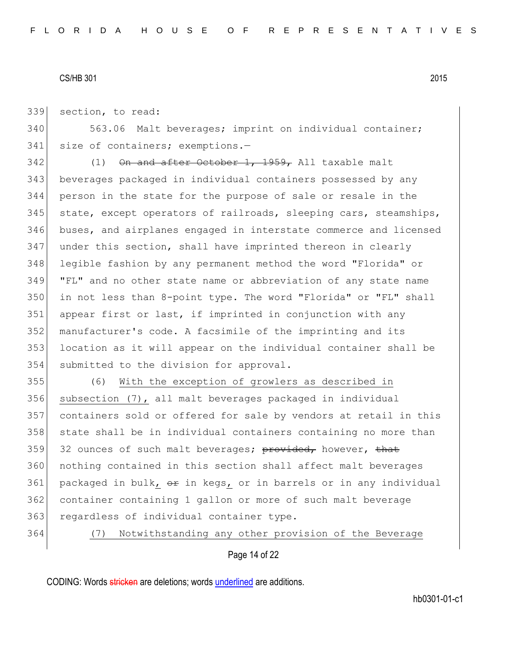339 section, to read:

340 563.06 Malt beverages; imprint on individual container; 341 size of containers; exemptions.-

 (1) On and after October 1, 1959, All taxable malt beverages packaged in individual containers possessed by any person in the state for the purpose of sale or resale in the 345 state, except operators of railroads, sleeping cars, steamships, buses, and airplanes engaged in interstate commerce and licensed under this section, shall have imprinted thereon in clearly legible fashion by any permanent method the word "Florida" or "FL" and no other state name or abbreviation of any state name in not less than 8-point type. The word "Florida" or "FL" shall appear first or last, if imprinted in conjunction with any manufacturer's code. A facsimile of the imprinting and its location as it will appear on the individual container shall be 354 submitted to the division for approval.

355 (6) With the exception of growlers as described in 356 subsection (7), all malt beverages packaged in individual 357 containers sold or offered for sale by vendors at retail in this 358 state shall be in individual containers containing no more than 359 32 ounces of such malt beverages;  $\frac{1}{2}$  bowever, that 360 nothing contained in this section shall affect malt beverages 361 packaged in bulk,  $\Theta$ r in kegs, or in barrels or in any individual 362 container containing 1 gallon or more of such malt beverage 363 regardless of individual container type.

364 (7) Notwithstanding any other provision of the Beverage

# Page 14 of 22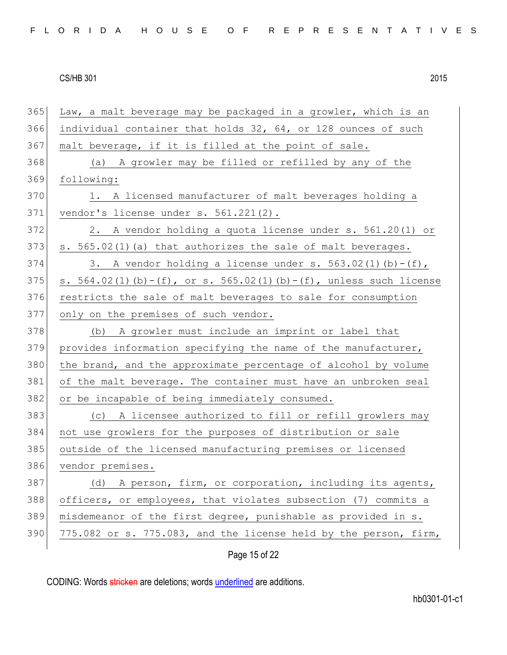Law, a malt beverage may be packaged in a growler, which is an individual container that holds 32, 64, or 128 ounces of such 367 malt beverage, if it is filled at the point of sale. (a) A growler may be filled or refilled by any of the following: 370 1. A licensed manufacturer of malt beverages holding a vendor's license under s. 561.221(2). 2. A vendor holding a quota license under s. 561.20(1) or s.  $565.02(1)$  (a) that authorizes the sale of malt beverages. 374 3. A vendor holding a license under s. 563.02(1)(b)-(f), 375 s.  $564.02(1)(b) - (f)$ , or s.  $565.02(1)(b) - (f)$ , unless such license 376 restricts the sale of malt beverages to sale for consumption 377 only on the premises of such vendor. 378 (b) A growler must include an imprint or label that provides information specifying the name of the manufacturer, 380 the brand, and the approximate percentage of alcohol by volume of the malt beverage. The container must have an unbroken seal 382 or be incapable of being immediately consumed. (c) A licensee authorized to fill or refill growlers may not use growlers for the purposes of distribution or sale outside of the licensed manufacturing premises or licensed vendor premises. 387 (d) A person, firm, or corporation, including its agents, officers, or employees, that violates subsection (7) commits a misdemeanor of the first degree, punishable as provided in s.  $775.082$  or s. 775.083, and the license held by the person, firm,

Page 15 of 22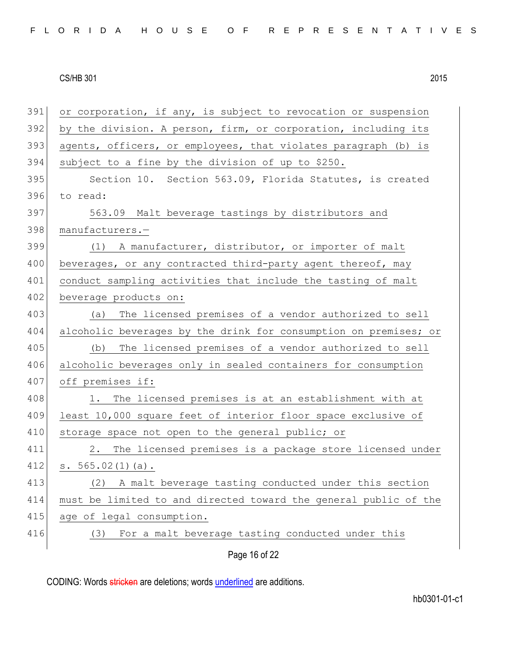| 391 | or corporation, if any, is subject to revocation or suspension   |
|-----|------------------------------------------------------------------|
| 392 | by the division. A person, firm, or corporation, including its   |
| 393 | agents, officers, or employees, that violates paragraph (b) is   |
| 394 | subject to a fine by the division of up to \$250.                |
| 395 | Section 10. Section 563.09, Florida Statutes, is created         |
| 396 | to read:                                                         |
| 397 | 563.09 Malt beverage tastings by distributors and                |
| 398 | manufacturers.-                                                  |
| 399 | (1) A manufacturer, distributor, or importer of malt             |
| 400 | beverages, or any contracted third-party agent thereof, may      |
| 401 | conduct sampling activities that include the tasting of malt     |
| 402 | beverage products on:                                            |
| 403 | (a) The licensed premises of a vendor authorized to sell         |
| 404 | alcoholic beverages by the drink for consumption on premises; or |
| 405 | The licensed premises of a vendor authorized to sell<br>(b)      |
| 406 | alcoholic beverages only in sealed containers for consumption    |
| 407 | off premises if:                                                 |
| 408 | 1. The licensed premises is at an establishment with at          |
| 409 | least 10,000 square feet of interior floor space exclusive of    |
| 410 | storage space not open to the general public; or                 |
| 411 | 2. The licensed premises is a package store licensed under       |
| 412 | s. $565.02(1)(a)$ .                                              |
| 413 | A malt beverage tasting conducted under this section<br>(2)      |
| 414 | must be limited to and directed toward the general public of the |
| 415 | age of legal consumption.                                        |
| 416 | For a malt beverage tasting conducted under this<br>(3)          |
|     | Page 16 of 22                                                    |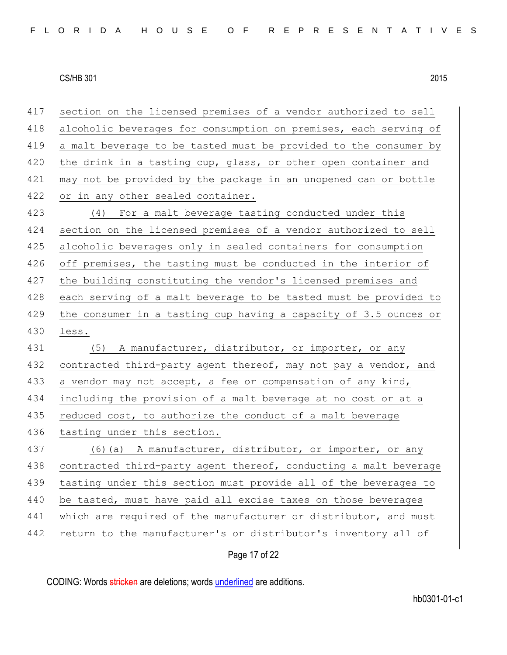Page 17 of 22 417 section on the licensed premises of a vendor authorized to sell 418 alcoholic beverages for consumption on premises, each serving of 419 a malt beverage to be tasted must be provided to the consumer by 420 the drink in a tasting cup, glass, or other open container and 421 may not be provided by the package in an unopened can or bottle 422 or in any other sealed container. 423 (4) For a malt beverage tasting conducted under this 424 section on the licensed premises of a vendor authorized to sell 425 alcoholic beverages only in sealed containers for consumption 426 off premises, the tasting must be conducted in the interior of 427 the building constituting the vendor's licensed premises and 428 each serving of a malt beverage to be tasted must be provided to 429 the consumer in a tasting cup having a capacity of 3.5 ounces or 430 less. 431 (5) A manufacturer, distributor, or importer, or any 432 contracted third-party agent thereof, may not pay a vendor, and 433 a vendor may not accept, a fee or compensation of any kind, 434 including the provision of a malt beverage at no cost or at a 435 reduced cost, to authorize the conduct of a malt beverage 436 tasting under this section. 437 (6)(a) A manufacturer, distributor, or importer, or any 438 contracted third-party agent thereof, conducting a malt beverage 439 tasting under this section must provide all of the beverages to 440 be tasted, must have paid all excise taxes on those beverages 441 which are required of the manufacturer or distributor, and must 442 return to the manufacturer's or distributor's inventory all of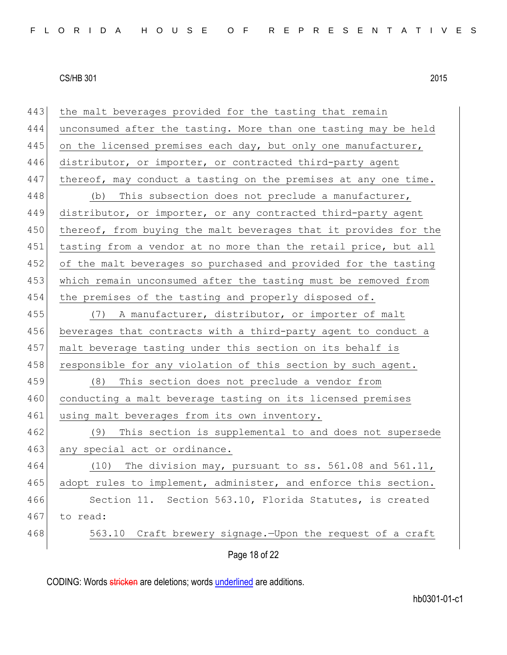Page 18 of 22 443 the malt beverages provided for the tasting that remain 444 unconsumed after the tasting. More than one tasting may be held 445 on the licensed premises each day, but only one manufacturer, 446 distributor, or importer, or contracted third-party agent 447 thereof, may conduct a tasting on the premises at any one time. 448 (b) This subsection does not preclude a manufacturer, 449 distributor, or importer, or any contracted third-party agent 450 thereof, from buying the malt beverages that it provides for the 451 tasting from a vendor at no more than the retail price, but all 452 of the malt beverages so purchased and provided for the tasting 453 which remain unconsumed after the tasting must be removed from 454 the premises of the tasting and properly disposed of. 455 (7) A manufacturer, distributor, or importer of malt 456 beverages that contracts with a third-party agent to conduct a 457 malt beverage tasting under this section on its behalf is 458 responsible for any violation of this section by such agent. 459 (8) This section does not preclude a vendor from 460 conducting a malt beverage tasting on its licensed premises 461 using malt beverages from its own inventory. 462 (9) This section is supplemental to and does not supersede 463 any special act or ordinance. 464 (10) The division may, pursuant to ss. 561.08 and 561.11, 465 adopt rules to implement, administer, and enforce this section. 466 Section 11. Section 563.10, Florida Statutes, is created 467 to read: 468 563.10 Craft brewery signage.—Upon the request of a craft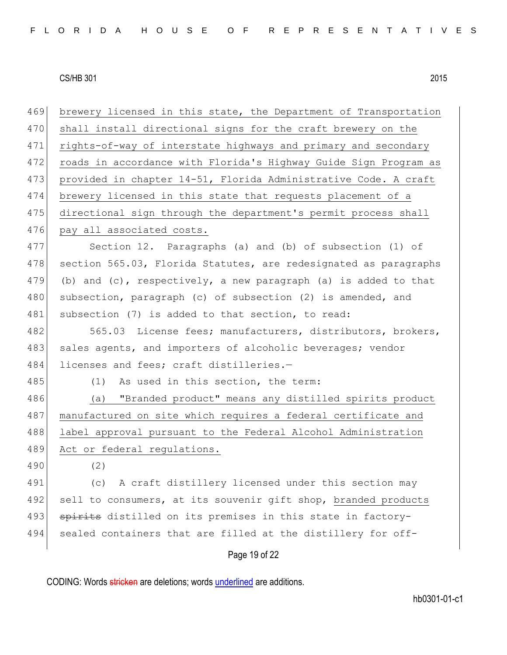Page 19 of 22 469 brewery licensed in this state, the Department of Transportation 470 shall install directional signs for the craft brewery on the 471 rights-of-way of interstate highways and primary and secondary 472 roads in accordance with Florida's Highway Guide Sign Program as 473 provided in chapter 14-51, Florida Administrative Code. A craft 474 brewery licensed in this state that requests placement of a 475 directional sign through the department's permit process shall 476 pay all associated costs. 477 Section 12. Paragraphs (a) and (b) of subsection (1) of 478 section 565.03, Florida Statutes, are redesignated as paragraphs 479 (b) and  $(c)$ , respectively, a new paragraph (a) is added to that 480 subsection, paragraph (c) of subsection (2) is amended, and 481 subsection (7) is added to that section, to read: 482 565.03 License fees; manufacturers, distributors, brokers, 483 sales agents, and importers of alcoholic beverages; vendor 484 licenses and fees; craft distilleries.-485 (1) As used in this section, the term: 486 (a) "Branded product" means any distilled spirits product 487 manufactured on site which requires a federal certificate and 488 label approval pursuant to the Federal Alcohol Administration 489 Act or federal regulations. 490 (2) 491 (c) A craft distillery licensed under this section may 492 sell to consumers, at its souvenir gift shop, branded products 493 spirits distilled on its premises in this state in factory-494 sealed containers that are filled at the distillery for off-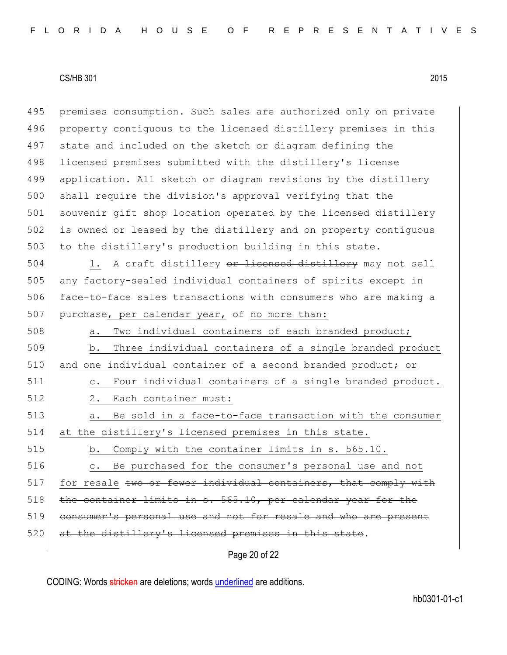495 premises consumption. Such sales are authorized only on private 496 property contiguous to the licensed distillery premises in this 497 state and included on the sketch or diagram defining the 498 licensed premises submitted with the distillery's license 499 application. All sketch or diagram revisions by the distillery 500 shall require the division's approval verifying that the 501 souvenir gift shop location operated by the licensed distillery 502 is owned or leased by the distillery and on property contiguous 503 to the distillery's production building in this state.

504 1. A craft distillery or licensed distillery may not sell 505 any factory-sealed individual containers of spirits except in 506 face-to-face sales transactions with consumers who are making a 507 purchase, per calendar year, of no more than:

508 a. Two individual containers of each branded product; 509 b. Three individual containers of a single branded product 510 and one individual container of a second branded product; or 511 c. Four individual containers of a single branded product. 512 2. Each container must: 513 a. Be sold in a face-to-face transaction with the consumer 514 at the distillery's licensed premises in this state. 515 b. Comply with the container limits in s. 565.10.

516 c. Be purchased for the consumer's personal use and not  $517$  for resale two or fewer individual containers, that comply with 518 the container limits in s. 565.10, per calendar year for the 519 consumer's personal use and not for resale and who are present 520 at the distillery's licensed premises in this state.

Page 20 of 22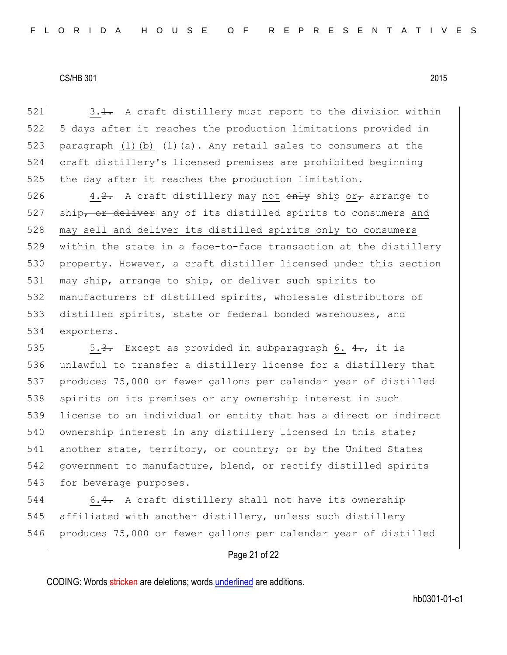$521$  3.1. A craft distillery must report to the division within 522 5 days after it reaches the production limitations provided in 523 paragraph (1)(b)  $\left(1\right)$   $\left(1\right)$   $\left(1\right)$ . Any retail sales to consumers at the 524 craft distillery's licensed premises are prohibited beginning 525 the day after it reaches the production limitation.

526 4.<del>2.</del> A craft distillery may not  $\theta$  only ship or f arrange to 527 ship<del>, or deliver</del> any of its distilled spirits to consumers and 528 may sell and deliver its distilled spirits only to consumers within the state in a face-to-face transaction at the distillery property. However, a craft distiller licensed under this section may ship, arrange to ship, or deliver such spirits to manufacturers of distilled spirits, wholesale distributors of distilled spirits, state or federal bonded warehouses, and exporters.

535 5.3. Except as provided in subparagraph 6. 4., it is 536 unlawful to transfer a distillery license for a distillery that 537 produces 75,000 or fewer gallons per calendar year of distilled 538 spirits on its premises or any ownership interest in such 539 license to an individual or entity that has a direct or indirect 540 ownership interest in any distillery licensed in this state; 541 another state, territory, or country; or by the United States 542 government to manufacture, blend, or rectify distilled spirits 543 for beverage purposes.

544 6.4. A craft distillery shall not have its ownership 545 affiliated with another distillery, unless such distillery 546 produces 75,000 or fewer gallons per calendar year of distilled

# Page 21 of 22